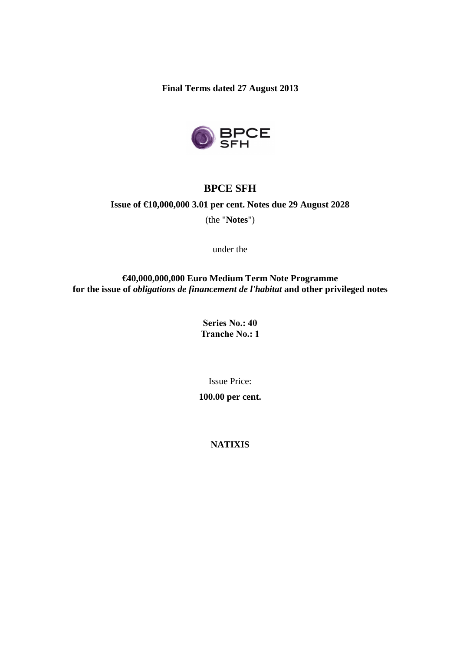**Final Terms dated 27 August 2013** 



# **BPCE SFH**

# **Issue of €10,000,000 3.01 per cent. Notes due 29 August 2028**

(the "**Notes**")

under the

**€40,000,000,000 Euro Medium Term Note Programme for the issue of** *obligations de financement de l'habitat* **and other privileged notes** 

> **Series No.: 40 Tranche No.: 1**

> > Issue Price:

**100.00 per cent.** 

**NATIXIS**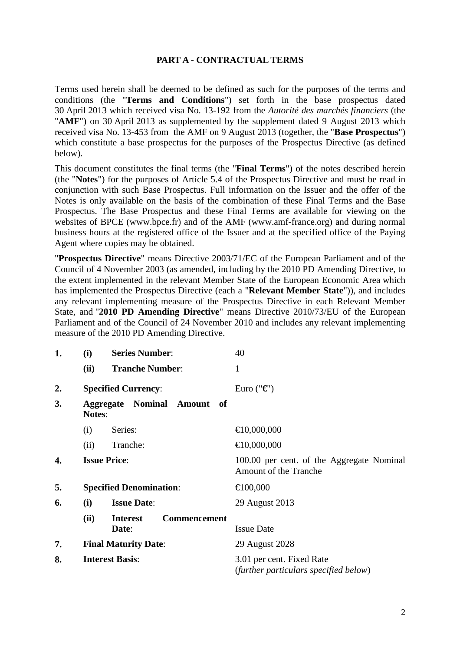## **PART A - CONTRACTUAL TERMS**

Terms used herein shall be deemed to be defined as such for the purposes of the terms and conditions (the "**Terms and Conditions**") set forth in the base prospectus dated 30 April 2013 which received visa No. 13-192 from the *Autorité des marchés financiers* (the "**AMF**") on 30 April 2013 as supplemented by the supplement dated 9 August 2013 which received visa No. 13-453 from the AMF on 9 August 2013 (together, the "**Base Prospectus**") which constitute a base prospectus for the purposes of the Prospectus Directive (as defined below).

This document constitutes the final terms (the "**Final Terms**") of the notes described herein (the "**Notes**") for the purposes of Article 5.4 of the Prospectus Directive and must be read in conjunction with such Base Prospectus. Full information on the Issuer and the offer of the Notes is only available on the basis of the combination of these Final Terms and the Base Prospectus. The Base Prospectus and these Final Terms are available for viewing on the websites of BPCE (www.bpce.fr) and of the AMF (www.amf-france.org) and during normal business hours at the registered office of the Issuer and at the specified office of the Paying Agent where copies may be obtained.

"**Prospectus Directive**" means Directive 2003/71/EC of the European Parliament and of the Council of 4 November 2003 (as amended, including by the 2010 PD Amending Directive, to the extent implemented in the relevant Member State of the European Economic Area which has implemented the Prospectus Directive (each a "**Relevant Member State**")), and includes any relevant implementing measure of the Prospectus Directive in each Relevant Member State, and "**2010 PD Amending Directive**" means Directive 2010/73/EU of the European Parliament and of the Council of 24 November 2010 and includes any relevant implementing measure of the 2010 PD Amending Directive.

| 1. | (i)                            | <b>Series Number:</b>                   | 40                                                                        |
|----|--------------------------------|-----------------------------------------|---------------------------------------------------------------------------|
|    | (ii)                           | <b>Tranche Number:</b>                  | $\mathbf{1}$                                                              |
| 2. | <b>Specified Currency:</b>     |                                         | Euro (" $\mathbf{\epsilon}$ ")                                            |
| 3. | <b>Notes:</b>                  | <b>Aggregate Nominal Amount</b><br>- of |                                                                           |
|    | Series:<br>(i)                 |                                         | €10,000,000                                                               |
|    | (ii)                           | Tranche:                                | €10,000,000                                                               |
| 4. | <b>Issue Price:</b>            |                                         | 100.00 per cent. of the Aggregate Nominal<br><b>Amount of the Tranche</b> |
| 5. | <b>Specified Denomination:</b> |                                         | €100,000                                                                  |
| 6. | (i)                            | <b>Issue Date:</b>                      | 29 August 2013                                                            |
|    | (ii)<br>Date:                  | <b>Commencement</b><br><b>Interest</b>  | <b>Issue Date</b>                                                         |
| 7. | <b>Final Maturity Date:</b>    |                                         | 29 August 2028                                                            |
| 8. | <b>Interest Basis:</b>         |                                         | 3.01 per cent. Fixed Rate<br>(further particulars specified below)        |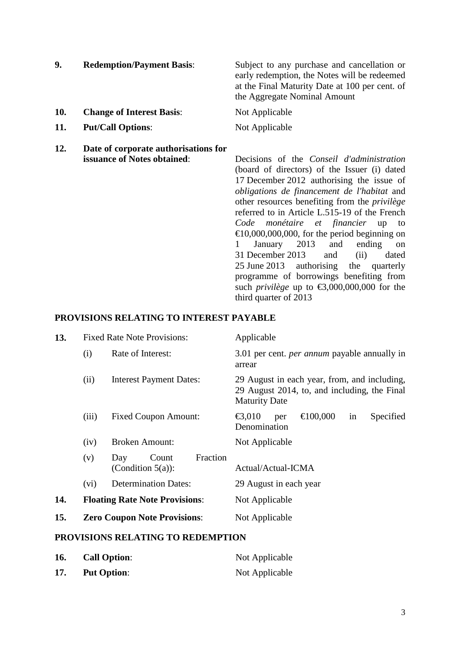| 9.  | <b>Redemption/Payment Basis:</b>     | Subject to any purchase and cancellation or<br>early redemption, the Notes will be redeemed<br>at the Final Maturity Date at 100 per cent. of<br>the Aggregate Nominal Amount |
|-----|--------------------------------------|-------------------------------------------------------------------------------------------------------------------------------------------------------------------------------|
| 10. | <b>Change of Interest Basis:</b>     | Not Applicable                                                                                                                                                                |
| 11. | <b>Put/Call Options:</b>             | Not Applicable                                                                                                                                                                |
| 12. | Date of corporate authorisations for |                                                                                                                                                                               |

**issuance of Notes obtained**: Decisions of the *Conseil d'administration* (board of directors) of the Issuer (i) dated 17 December 2012 authorising the issue of *obligations de financement de l'habitat* and other resources benefiting from the *privilège* referred to in Article L.515-19 of the French *Code monétaire et financier* up to  $\epsilon$ 10,000,000,000, for the period beginning on 1 January 2013 and ending on 31 December 2013 and (ii) dated 25 June 2013 authorising the quarterly programme of borrowings benefiting from such *privilège* up to  $\text{\textsterling}3,000,000,000$  for the third quarter of 2013

### **PROVISIONS RELATING TO INTEREST PAYABLE**

| 13. |       | <b>Fixed Rate Note Provisions:</b>               | Applicable                                                                                                           |
|-----|-------|--------------------------------------------------|----------------------------------------------------------------------------------------------------------------------|
|     | (i)   | Rate of Interest:                                | 3.01 per cent. <i>per annum</i> payable annually in<br>arrear                                                        |
|     | (ii)  | <b>Interest Payment Dates:</b>                   | 29 August in each year, from, and including,<br>29 August 2014, to, and including, the Final<br><b>Maturity Date</b> |
|     | (iii) | <b>Fixed Coupon Amount:</b>                      | €100,000<br>$\epsilon$ 3,010<br>Secified<br>in<br>per<br>Denomination                                                |
|     | (iv)  | <b>Broken Amount:</b>                            | Not Applicable                                                                                                       |
|     | (v)   | Fraction<br>Count<br>Day<br>(Condition $5(a)$ ): | Actual/Actual-ICMA                                                                                                   |
|     | (vi)  | <b>Determination Dates:</b>                      | 29 August in each year                                                                                               |
| 14. |       | <b>Floating Rate Note Provisions:</b>            | Not Applicable                                                                                                       |
| 15. |       | <b>Zero Coupon Note Provisions:</b>              | Not Applicable                                                                                                       |

## **PROVISIONS RELATING TO REDEMPTION**

| 16. | <b>Call Option:</b> | Not Applicable |
|-----|---------------------|----------------|
| 17. | <b>Put Option:</b>  | Not Applicable |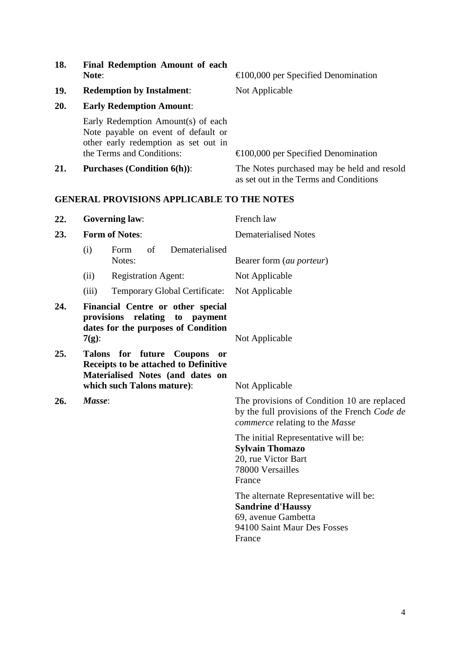|     | Early Redemption Amount(s) of each<br>Note payable on event of default or<br>other early redemption as set out in<br>the Terms and Conditions: | $\epsilon$ 100,000 per Specified Denomination                                                                                 |
|-----|------------------------------------------------------------------------------------------------------------------------------------------------|-------------------------------------------------------------------------------------------------------------------------------|
| 21. | <b>Purchases (Condition 6(h)):</b>                                                                                                             | The Notes purchased may be held and resold<br>as set out in the Terms and Conditions                                          |
|     | <b>GENERAL PROVISIONS APPLICABLE TO THE NOTES</b>                                                                                              |                                                                                                                               |
| 22. | <b>Governing law:</b>                                                                                                                          | French law                                                                                                                    |
| 23. | <b>Form of Notes:</b>                                                                                                                          | <b>Dematerialised Notes</b>                                                                                                   |
|     | of<br>Dematerialised<br>(i)<br>Form<br>Notes:                                                                                                  | Bearer form (au porteur)                                                                                                      |
|     | <b>Registration Agent:</b><br>(ii)                                                                                                             | Not Applicable                                                                                                                |
|     | (iii)<br>Temporary Global Certificate:                                                                                                         | Not Applicable                                                                                                                |
| 24. | Financial Centre or other special<br>provisions relating<br>to payment<br>dates for the purposes of Condition<br>$7(g)$ :                      | Not Applicable                                                                                                                |
| 25. | Talons for future Coupons<br>Receipts to be attached to Definitive<br>Materialised Notes (and dates on<br>which such Talons mature):           | <b>or</b><br>Not Applicable                                                                                                   |
| 26. | Masse:                                                                                                                                         | The provisions of Condition 10 are replaced<br>by the full provisions of the French Code de<br>commerce relating to the Masse |
|     |                                                                                                                                                | The initial Representative will be:<br><b>Sylvain Thomazo</b><br>20, rue Victor Bart<br>78000 Versailles<br>France            |
|     |                                                                                                                                                | The alternate Representative will be:<br><b>Sandrine d'Haussy</b><br>69, avenue Gambetta                                      |

94100 Saint Maur Des Fosses

France

**18. Final Redemption Amount of each** 

**19. Redemption by Instalment**: Not Applicable

**20. Early Redemption Amount**:

**Note**: €100,000 per Specified Denomination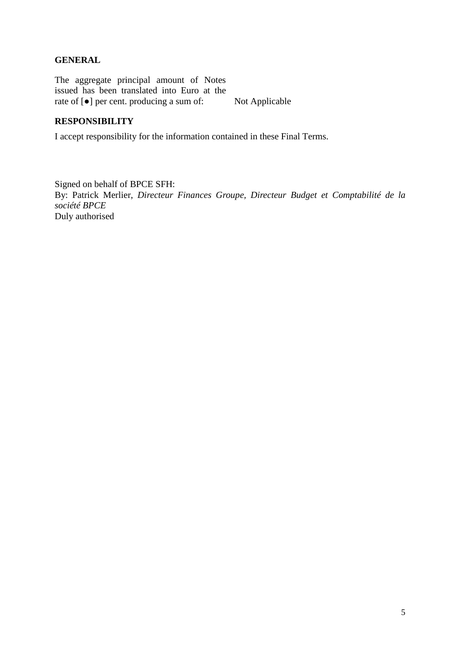# **GENERAL**

The aggregate principal amount of Notes issued has been translated into Euro at the rate of [●] per cent. producing a sum of: Not Applicable

# **RESPONSIBILITY**

I accept responsibility for the information contained in these Final Terms.

Signed on behalf of BPCE SFH: By: Patrick Merlier, *Directeur Finances Groupe, Directeur Budget et Comptabilité de la société BPCE* Duly authorised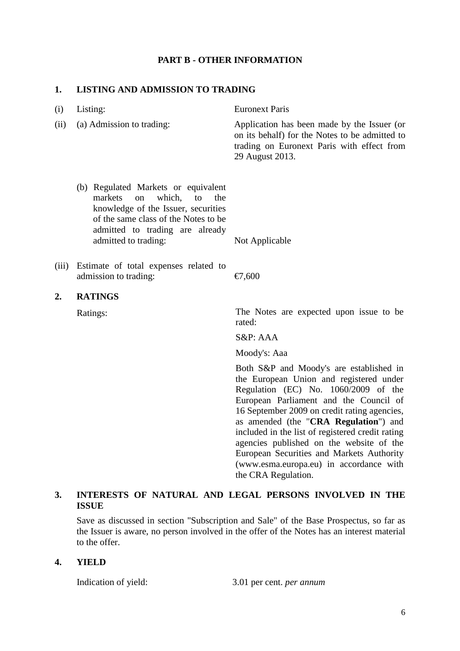## **PART B - OTHER INFORMATION**

#### **1. LISTING AND ADMISSION TO TRADING**

| (i)   | Listing:                                                                                                                                                                                                        | <b>Euronext Paris</b>                                                                                                                                          |
|-------|-----------------------------------------------------------------------------------------------------------------------------------------------------------------------------------------------------------------|----------------------------------------------------------------------------------------------------------------------------------------------------------------|
| (ii)  | (a) Admission to trading:                                                                                                                                                                                       | Application has been made by the Issuer (or<br>on its behalf) for the Notes to be admitted to<br>trading on Euronext Paris with effect from<br>29 August 2013. |
|       | (b) Regulated Markets or equivalent<br>which, to<br>markets on<br>the<br>knowledge of the Issuer, securities<br>of the same class of the Notes to be<br>admitted to trading are already<br>admitted to trading: | Not Applicable                                                                                                                                                 |
| (iii) | Estimate of total expenses related to<br>admission to trading:                                                                                                                                                  | €7,600                                                                                                                                                         |
| 2.    | <b>RATINGS</b>                                                                                                                                                                                                  |                                                                                                                                                                |
|       | Ratings:                                                                                                                                                                                                        | The Notes are expected upon issue to be<br>rated:                                                                                                              |
|       |                                                                                                                                                                                                                 | S&P: AAA                                                                                                                                                       |
|       |                                                                                                                                                                                                                 | Moody's: Aaa                                                                                                                                                   |

Both S&P and Moody's are established in the European Union and registered under Regulation (EC) No. 1060/2009 of the European Parliament and the Council of 16 September 2009 on credit rating agencies, as amended (the "**CRA Regulation**") and included in the list of registered credit rating agencies published on the website of the European Securities and Markets Authority (www.esma.europa.eu) in accordance with the CRA Regulation.

# **3. INTERESTS OF NATURAL AND LEGAL PERSONS INVOLVED IN THE ISSUE**

Save as discussed in section "Subscription and Sale" of the Base Prospectus, so far as the Issuer is aware, no person involved in the offer of the Notes has an interest material to the offer.

#### **4. YIELD**

Indication of yield: 3.01 per cent. *per annum*